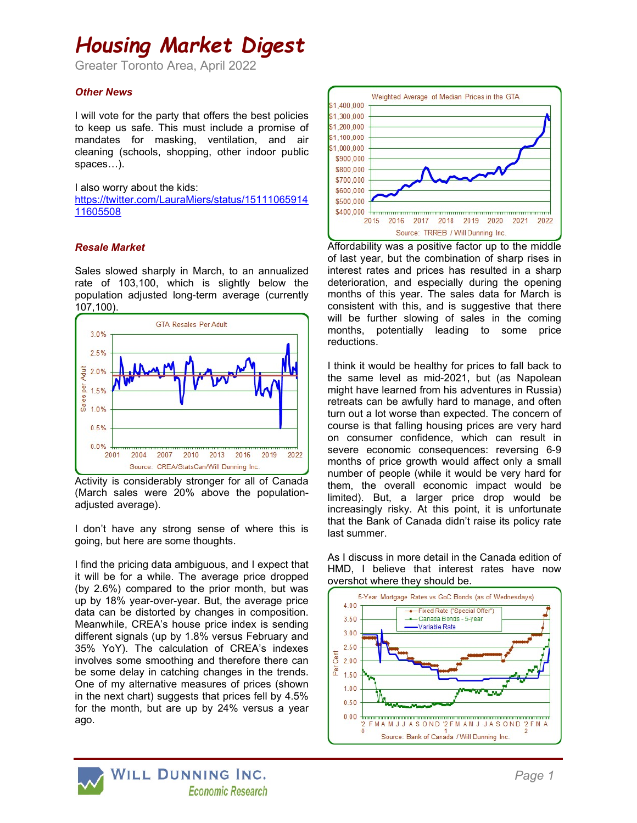# Housing Market Digest

Greater Toronto Area, April 2022

### Other News

I will vote for the party that offers the best policies to keep us safe. This must include a promise of mandates for masking, ventilation, and air cleaning (schools, shopping, other indoor public spaces…).

I also worry about the kids:

https://twitter.com/LauraMiers/status/15111065914 11605508

## Resale Market

Sales slowed sharply in March, to an annualized rate of 103,100, which is slightly below the population adjusted long-term average (currently 107,100).



Activity is considerably stronger for all of Canada (March sales were 20% above the populationadjusted average).

I don't have any strong sense of where this is going, but here are some thoughts.

I find the pricing data ambiguous, and I expect that it will be for a while. The average price dropped (by 2.6%) compared to the prior month, but was up by 18% year-over-year. But, the average price data can be distorted by changes in composition. Meanwhile, CREA's house price index is sending different signals (up by 1.8% versus February and 35% YoY). The calculation of CREA's indexes involves some smoothing and therefore there can be some delay in catching changes in the trends. One of my alternative measures of prices (shown in the next chart) suggests that prices fell by 4.5% for the month, but are up by 24% versus a year ago.



Affordability was a positive factor up to the middle of last year, but the combination of sharp rises in interest rates and prices has resulted in a sharp deterioration, and especially during the opening months of this year. The sales data for March is consistent with this, and is suggestive that there will be further slowing of sales in the coming months, potentially leading to some price reductions.

I think it would be healthy for prices to fall back to the same level as mid-2021, but (as Napolean might have learned from his adventures in Russia) retreats can be awfully hard to manage, and often turn out a lot worse than expected. The concern of course is that falling housing prices are very hard on consumer confidence, which can result in severe economic consequences: reversing 6-9 months of price growth would affect only a small number of people (while it would be very hard for them, the overall economic impact would be limited). But, a larger price drop would be increasingly risky. At this point, it is unfortunate that the Bank of Canada didn't raise its policy rate last summer.

As I discuss in more detail in the Canada edition of HMD, I believe that interest rates have now overshot where they should be.